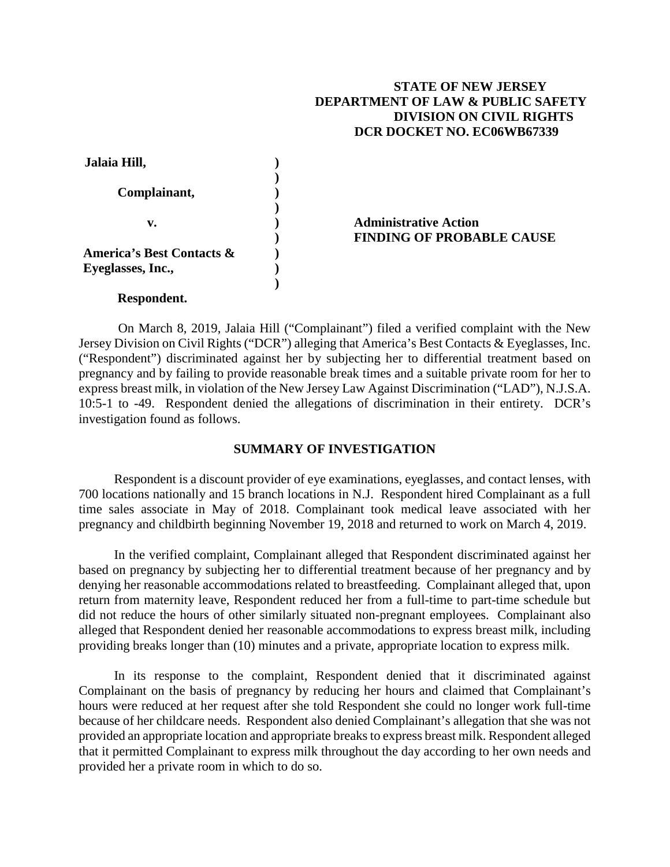# **STATE OF NEW JERSEY DEPARTMENT OF LAW & PUBLIC SAFETY DIVISION ON CIVIL RIGHTS DCR DOCKET NO. EC06WB67339**

| Jalaia Hill,                         |                                  |
|--------------------------------------|----------------------------------|
|                                      |                                  |
| Complainant,                         |                                  |
|                                      |                                  |
| v.                                   | <b>Administrative Action</b>     |
|                                      | <b>FINDING OF PROBABLE CAUSE</b> |
| <b>America's Best Contacts &amp;</b> |                                  |
| Eyeglasses, Inc.,                    |                                  |
|                                      |                                  |

## **Respondent.**

On March 8, 2019, Jalaia Hill ("Complainant") filed a verified complaint with the New Jersey Division on Civil Rights ("DCR") alleging that America's Best Contacts & Eyeglasses, Inc. ("Respondent") discriminated against her by subjecting her to differential treatment based on pregnancy and by failing to provide reasonable break times and a suitable private room for her to express breast milk, in violation of the New Jersey Law Against Discrimination ("LAD"), N.J.S.A. 10:5-1 to -49. Respondent denied the allegations of discrimination in their entirety. DCR's investigation found as follows.

# **SUMMARY OF INVESTIGATION**

Respondent is a discount provider of eye examinations, eyeglasses, and contact lenses, with 700 locations nationally and 15 branch locations in N.J. Respondent hired Complainant as a full time sales associate in May of 2018. Complainant took medical leave associated with her pregnancy and childbirth beginning November 19, 2018 and returned to work on March 4, 2019.

In the verified complaint, Complainant alleged that Respondent discriminated against her based on pregnancy by subjecting her to differential treatment because of her pregnancy and by denying her reasonable accommodations related to breastfeeding. Complainant alleged that, upon return from maternity leave, Respondent reduced her from a full-time to part-time schedule but did not reduce the hours of other similarly situated non-pregnant employees. Complainant also alleged that Respondent denied her reasonable accommodations to express breast milk, including providing breaks longer than (10) minutes and a private, appropriate location to express milk.

In its response to the complaint, Respondent denied that it discriminated against Complainant on the basis of pregnancy by reducing her hours and claimed that Complainant's hours were reduced at her request after she told Respondent she could no longer work full-time because of her childcare needs. Respondent also denied Complainant's allegation that she was not provided an appropriate location and appropriate breaks to express breast milk. Respondent alleged that it permitted Complainant to express milk throughout the day according to her own needs and provided her a private room in which to do so.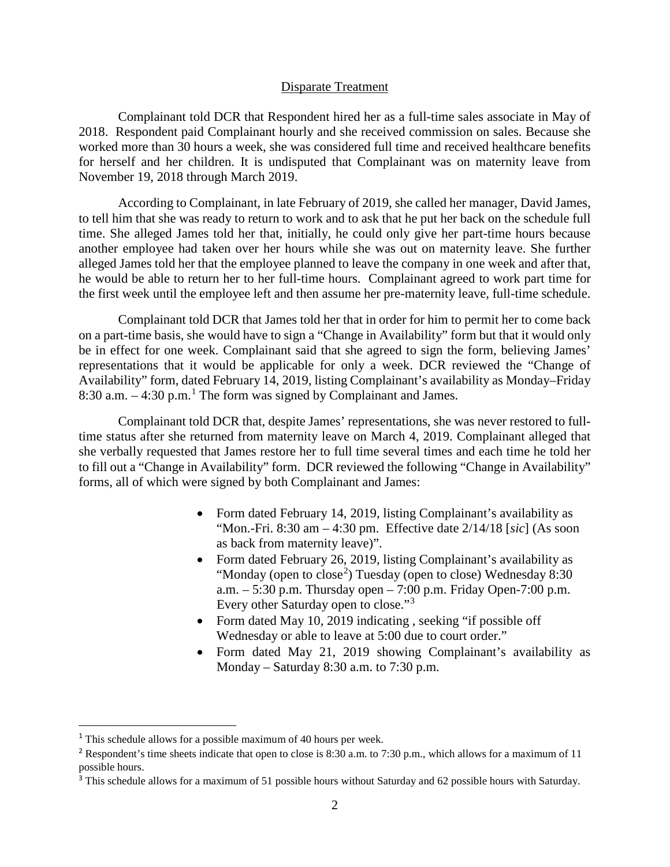## Disparate Treatment

Complainant told DCR that Respondent hired her as a full-time sales associate in May of 2018. Respondent paid Complainant hourly and she received commission on sales. Because she worked more than 30 hours a week, she was considered full time and received healthcare benefits for herself and her children. It is undisputed that Complainant was on maternity leave from November 19, 2018 through March 2019.

According to Complainant, in late February of 2019, she called her manager, David James, to tell him that she was ready to return to work and to ask that he put her back on the schedule full time. She alleged James told her that, initially, he could only give her part-time hours because another employee had taken over her hours while she was out on maternity leave. She further alleged James told her that the employee planned to leave the company in one week and after that, he would be able to return her to her full-time hours. Complainant agreed to work part time for the first week until the employee left and then assume her pre-maternity leave, full-time schedule.

Complainant told DCR that James told her that in order for him to permit her to come back on a part-time basis, she would have to sign a "Change in Availability" form but that it would only be in effect for one week. Complainant said that she agreed to sign the form, believing James' representations that it would be applicable for only a week. DCR reviewed the "Change of Availability" form, dated February 14, 2019, listing Complainant's availability as Monday–Friday 8:30 a.m.  $-4:30$  p.m.<sup>[1](#page-1-0)</sup> The form was signed by Complainant and James.

Complainant told DCR that, despite James' representations, she was never restored to fulltime status after she returned from maternity leave on March 4, 2019. Complainant alleged that she verbally requested that James restore her to full time several times and each time he told her to fill out a "Change in Availability" form. DCR reviewed the following "Change in Availability" forms, all of which were signed by both Complainant and James:

- Form dated February 14, 2019, listing Complainant's availability as "Mon.-Fri. 8:30 am – 4:30 pm. Effective date 2/14/18 [*sic*] (As soon as back from maternity leave)".
- Form dated February 26, 2019, listing Complainant's availability as "Monday (open to close<sup>[2](#page-2-0)</sup>) Tuesday (open to close) Wednesday  $8:30$ a.m.  $-5:30$  p.m. Thursday open  $-7:00$  p.m. Friday Open-7:00 p.m. Every other Saturday open to close."[3](#page-2-1)
- Form dated May 10, 2019 indicating, seeking "if possible off" Wednesday or able to leave at 5:00 due to court order."
- Form dated May 21, 2019 showing Complainant's availability as Monday – Saturday  $8:30$  a.m. to  $7:30$  p.m.

 <sup>1</sup> This schedule allows for a possible maximum of 40 hours per week.

<sup>&</sup>lt;sup>2</sup> Respondent's time sheets indicate that open to close is 8:30 a.m. to 7:30 p.m., which allows for a maximum of 11 possible hours.

<span id="page-1-0"></span><sup>&</sup>lt;sup>3</sup> This schedule allows for a maximum of 51 possible hours without Saturday and 62 possible hours with Saturday.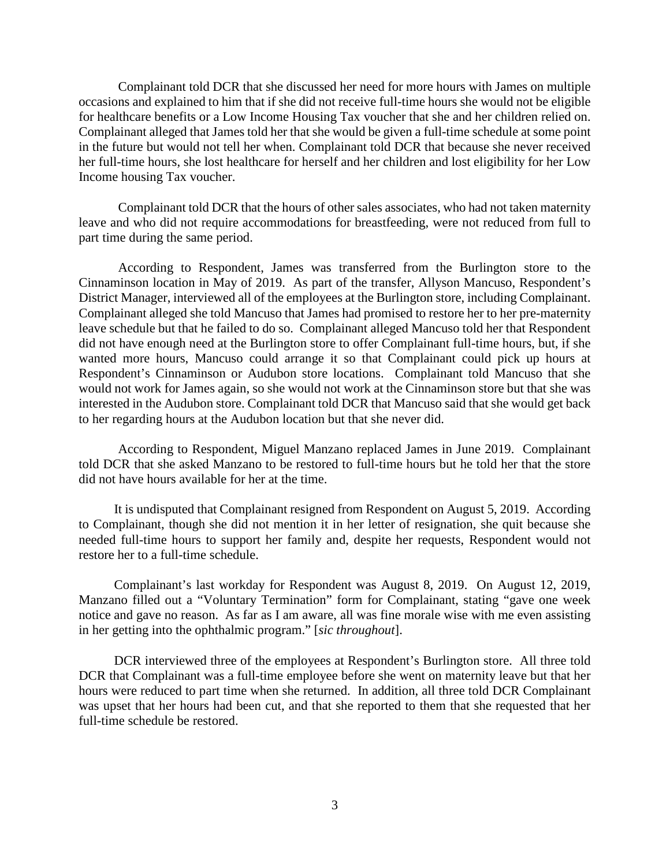Complainant told DCR that she discussed her need for more hours with James on multiple occasions and explained to him that if she did not receive full-time hours she would not be eligible for healthcare benefits or a Low Income Housing Tax voucher that she and her children relied on. Complainant alleged that James told her that she would be given a full-time schedule at some point in the future but would not tell her when. Complainant told DCR that because she never received her full-time hours, she lost healthcare for herself and her children and lost eligibility for her Low Income housing Tax voucher.

Complainant told DCR that the hours of other sales associates, who had not taken maternity leave and who did not require accommodations for breastfeeding, were not reduced from full to part time during the same period.

According to Respondent, James was transferred from the Burlington store to the Cinnaminson location in May of 2019. As part of the transfer, Allyson Mancuso, Respondent's District Manager, interviewed all of the employees at the Burlington store, including Complainant. Complainant alleged she told Mancuso that James had promised to restore her to her pre-maternity leave schedule but that he failed to do so. Complainant alleged Mancuso told her that Respondent did not have enough need at the Burlington store to offer Complainant full-time hours, but, if she wanted more hours, Mancuso could arrange it so that Complainant could pick up hours at Respondent's Cinnaminson or Audubon store locations. Complainant told Mancuso that she would not work for James again, so she would not work at the Cinnaminson store but that she was interested in the Audubon store. Complainant told DCR that Mancuso said that she would get back to her regarding hours at the Audubon location but that she never did.

According to Respondent, Miguel Manzano replaced James in June 2019. Complainant told DCR that she asked Manzano to be restored to full-time hours but he told her that the store did not have hours available for her at the time.

It is undisputed that Complainant resigned from Respondent on August 5, 2019. According to Complainant, though she did not mention it in her letter of resignation, she quit because she needed full-time hours to support her family and, despite her requests, Respondent would not restore her to a full-time schedule.

Complainant's last workday for Respondent was August 8, 2019. On August 12, 2019, Manzano filled out a "Voluntary Termination" form for Complainant, stating "gave one week notice and gave no reason. As far as I am aware, all was fine morale wise with me even assisting in her getting into the ophthalmic program." [*sic throughout*].

<span id="page-2-1"></span><span id="page-2-0"></span>DCR interviewed three of the employees at Respondent's Burlington store. All three told DCR that Complainant was a full-time employee before she went on maternity leave but that her hours were reduced to part time when she returned. In addition, all three told DCR Complainant was upset that her hours had been cut, and that she reported to them that she requested that her full-time schedule be restored.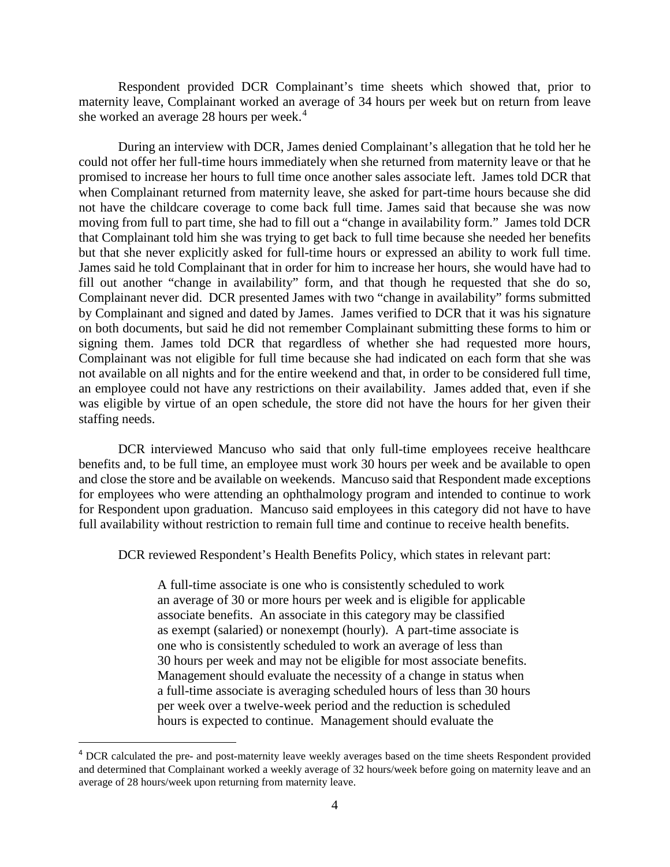Respondent provided DCR Complainant's time sheets which showed that, prior to maternity leave, Complainant worked an average of 34 hours per week but on return from leave she worked an average 28 hours per week. [4](#page-4-0)

During an interview with DCR, James denied Complainant's allegation that he told her he could not offer her full-time hours immediately when she returned from maternity leave or that he promised to increase her hours to full time once another sales associate left. James told DCR that when Complainant returned from maternity leave, she asked for part-time hours because she did not have the childcare coverage to come back full time. James said that because she was now moving from full to part time, she had to fill out a "change in availability form." James told DCR that Complainant told him she was trying to get back to full time because she needed her benefits but that she never explicitly asked for full-time hours or expressed an ability to work full time. James said he told Complainant that in order for him to increase her hours, she would have had to fill out another "change in availability" form, and that though he requested that she do so, Complainant never did. DCR presented James with two "change in availability" forms submitted by Complainant and signed and dated by James. James verified to DCR that it was his signature on both documents, but said he did not remember Complainant submitting these forms to him or signing them. James told DCR that regardless of whether she had requested more hours, Complainant was not eligible for full time because she had indicated on each form that she was not available on all nights and for the entire weekend and that, in order to be considered full time, an employee could not have any restrictions on their availability. James added that, even if she was eligible by virtue of an open schedule, the store did not have the hours for her given their staffing needs.

DCR interviewed Mancuso who said that only full-time employees receive healthcare benefits and, to be full time, an employee must work 30 hours per week and be available to open and close the store and be available on weekends. Mancuso said that Respondent made exceptions for employees who were attending an ophthalmology program and intended to continue to work for Respondent upon graduation. Mancuso said employees in this category did not have to have full availability without restriction to remain full time and continue to receive health benefits.

DCR reviewed Respondent's Health Benefits Policy, which states in relevant part:

A full-time associate is one who is consistently scheduled to work an average of 30 or more hours per week and is eligible for applicable associate benefits. An associate in this category may be classified as exempt (salaried) or nonexempt (hourly). A part-time associate is one who is consistently scheduled to work an average of less than 30 hours per week and may not be eligible for most associate benefits. Management should evaluate the necessity of a change in status when a full-time associate is averaging scheduled hours of less than 30 hours per week over a twelve-week period and the reduction is scheduled hours is expected to continue. Management should evaluate the

 <sup>4</sup> DCR calculated the pre- and post-maternity leave weekly averages based on the time sheets Respondent provided and determined that Complainant worked a weekly average of 32 hours/week before going on maternity leave and an average of 28 hours/week upon returning from maternity leave.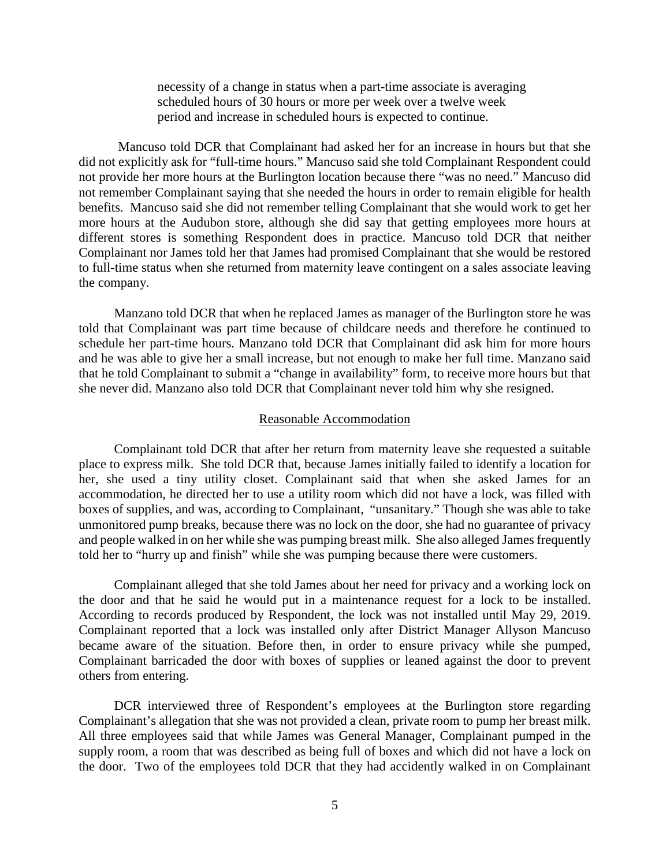necessity of a change in status when a part-time associate is averaging scheduled hours of 30 hours or more per week over a twelve week period and increase in scheduled hours is expected to continue.

Mancuso told DCR that Complainant had asked her for an increase in hours but that she did not explicitly ask for "full-time hours." Mancuso said she told Complainant Respondent could not provide her more hours at the Burlington location because there "was no need." Mancuso did not remember Complainant saying that she needed the hours in order to remain eligible for health benefits. Mancuso said she did not remember telling Complainant that she would work to get her more hours at the Audubon store, although she did say that getting employees more hours at different stores is something Respondent does in practice. Mancuso told DCR that neither Complainant nor James told her that James had promised Complainant that she would be restored to full-time status when she returned from maternity leave contingent on a sales associate leaving the company.

Manzano told DCR that when he replaced James as manager of the Burlington store he was told that Complainant was part time because of childcare needs and therefore he continued to schedule her part-time hours. Manzano told DCR that Complainant did ask him for more hours and he was able to give her a small increase, but not enough to make her full time. Manzano said that he told Complainant to submit a "change in availability" form, to receive more hours but that she never did. Manzano also told DCR that Complainant never told him why she resigned.

#### Reasonable Accommodation

Complainant told DCR that after her return from maternity leave she requested a suitable place to express milk. She told DCR that, because James initially failed to identify a location for her, she used a tiny utility closet. Complainant said that when she asked James for an accommodation, he directed her to use a utility room which did not have a lock, was filled with boxes of supplies, and was, according to Complainant, "unsanitary." Though she was able to take unmonitored pump breaks, because there was no lock on the door, she had no guarantee of privacy and people walked in on her while she was pumping breast milk. She also alleged James frequently told her to "hurry up and finish" while she was pumping because there were customers.

Complainant alleged that she told James about her need for privacy and a working lock on the door and that he said he would put in a maintenance request for a lock to be installed. According to records produced by Respondent, the lock was not installed until May 29, 2019. Complainant reported that a lock was installed only after District Manager Allyson Mancuso became aware of the situation. Before then, in order to ensure privacy while she pumped, Complainant barricaded the door with boxes of supplies or leaned against the door to prevent others from entering.

<span id="page-4-0"></span>DCR interviewed three of Respondent's employees at the Burlington store regarding Complainant's allegation that she was not provided a clean, private room to pump her breast milk. All three employees said that while James was General Manager, Complainant pumped in the supply room, a room that was described as being full of boxes and which did not have a lock on the door. Two of the employees told DCR that they had accidently walked in on Complainant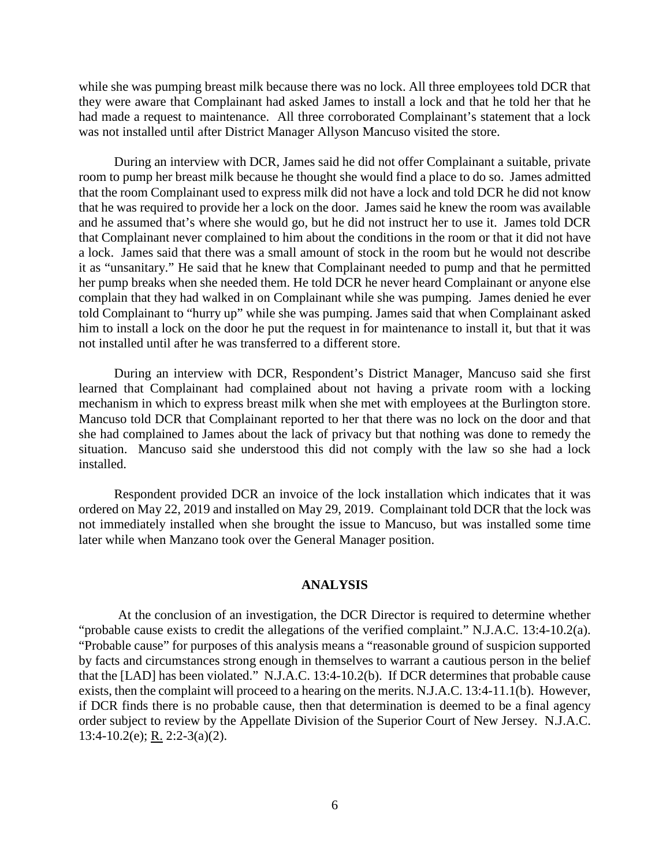while she was pumping breast milk because there was no lock. All three employees told DCR that they were aware that Complainant had asked James to install a lock and that he told her that he had made a request to maintenance. All three corroborated Complainant's statement that a lock was not installed until after District Manager Allyson Mancuso visited the store.

During an interview with DCR, James said he did not offer Complainant a suitable, private room to pump her breast milk because he thought she would find a place to do so. James admitted that the room Complainant used to express milk did not have a lock and told DCR he did not know that he was required to provide her a lock on the door. James said he knew the room was available and he assumed that's where she would go, but he did not instruct her to use it. James told DCR that Complainant never complained to him about the conditions in the room or that it did not have a lock. James said that there was a small amount of stock in the room but he would not describe it as "unsanitary." He said that he knew that Complainant needed to pump and that he permitted her pump breaks when she needed them. He told DCR he never heard Complainant or anyone else complain that they had walked in on Complainant while she was pumping. James denied he ever told Complainant to "hurry up" while she was pumping. James said that when Complainant asked him to install a lock on the door he put the request in for maintenance to install it, but that it was not installed until after he was transferred to a different store.

During an interview with DCR, Respondent's District Manager, Mancuso said she first learned that Complainant had complained about not having a private room with a locking mechanism in which to express breast milk when she met with employees at the Burlington store. Mancuso told DCR that Complainant reported to her that there was no lock on the door and that she had complained to James about the lack of privacy but that nothing was done to remedy the situation. Mancuso said she understood this did not comply with the law so she had a lock installed.

Respondent provided DCR an invoice of the lock installation which indicates that it was ordered on May 22, 2019 and installed on May 29, 2019. Complainant told DCR that the lock was not immediately installed when she brought the issue to Mancuso, but was installed some time later while when Manzano took over the General Manager position.

### **ANALYSIS**

At the conclusion of an investigation, the DCR Director is required to determine whether "probable cause exists to credit the allegations of the verified complaint." N.J.A.C. 13:4-10.2(a). "Probable cause" for purposes of this analysis means a "reasonable ground of suspicion supported by facts and circumstances strong enough in themselves to warrant a cautious person in the belief that the [LAD] has been violated." N.J.A.C. 13:4-10.2(b). If DCR determines that probable cause exists, then the complaint will proceed to a hearing on the merits. N.J.A.C. 13:4-11.1(b). However, if DCR finds there is no probable cause, then that determination is deemed to be a final agency order subject to review by the Appellate Division of the Superior Court of New Jersey. N.J.A.C. 13:4-10.2(e); R. 2:2-3(a)(2).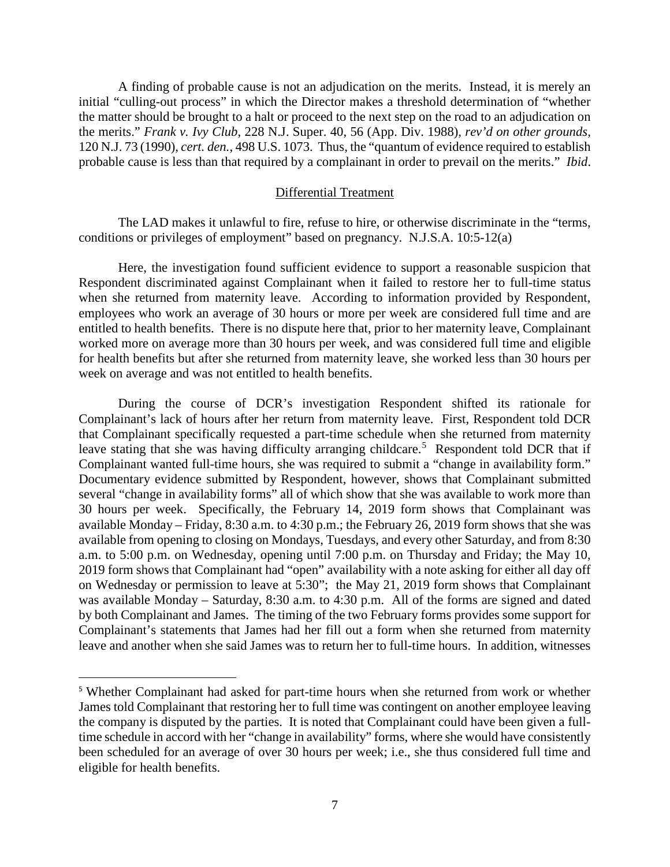A finding of probable cause is not an adjudication on the merits. Instead, it is merely an initial "culling-out process" in which the Director makes a threshold determination of "whether the matter should be brought to a halt or proceed to the next step on the road to an adjudication on the merits." *Frank v. Ivy Club*, 228 N.J. Super. 40, 56 (App. Div. 1988), *rev'd on other grounds*, 120 N.J. 73 (1990), *cert. den.*, 498 U.S. 1073. Thus, the "quantum of evidence required to establish probable cause is less than that required by a complainant in order to prevail on the merits." *Ibid*.

## Differential Treatment

The LAD makes it unlawful to fire, refuse to hire, or otherwise discriminate in the "terms, conditions or privileges of employment" based on pregnancy. N.J.S.A. 10:5-12(a)

Here, the investigation found sufficient evidence to support a reasonable suspicion that Respondent discriminated against Complainant when it failed to restore her to full-time status when she returned from maternity leave. According to information provided by Respondent, employees who work an average of 30 hours or more per week are considered full time and are entitled to health benefits. There is no dispute here that, prior to her maternity leave, Complainant worked more on average more than 30 hours per week, and was considered full time and eligible for health benefits but after she returned from maternity leave, she worked less than 30 hours per week on average and was not entitled to health benefits.

During the course of DCR's investigation Respondent shifted its rationale for Complainant's lack of hours after her return from maternity leave. First, Respondent told DCR that Complainant specifically requested a part-time schedule when she returned from maternity leave stating that she was having difficulty arranging childcare.<sup>[5](#page-8-0)</sup> Respondent told DCR that if Complainant wanted full-time hours, she was required to submit a "change in availability form." Documentary evidence submitted by Respondent, however, shows that Complainant submitted several "change in availability forms" all of which show that she was available to work more than 30 hours per week. Specifically, the February 14, 2019 form shows that Complainant was available Monday – Friday, 8:30 a.m. to 4:30 p.m.; the February 26, 2019 form shows that she was available from opening to closing on Mondays, Tuesdays, and every other Saturday, and from 8:30 a.m. to 5:00 p.m. on Wednesday, opening until 7:00 p.m. on Thursday and Friday; the May 10, 2019 form shows that Complainant had "open" availability with a note asking for either all day off on Wednesday or permission to leave at 5:30"; the May 21, 2019 form shows that Complainant was available Monday – Saturday, 8:30 a.m. to 4:30 p.m. All of the forms are signed and dated by both Complainant and James. The timing of the two February forms provides some support for Complainant's statements that James had her fill out a form when she returned from maternity leave and another when she said James was to return her to full-time hours. In addition, witnesses

 <sup>5</sup> Whether Complainant had asked for part-time hours when she returned from work or whether James told Complainant that restoring her to full time was contingent on another employee leaving the company is disputed by the parties. It is noted that Complainant could have been given a fulltime schedule in accord with her "change in availability" forms, where she would have consistently been scheduled for an average of over 30 hours per week; i.e., she thus considered full time and eligible for health benefits.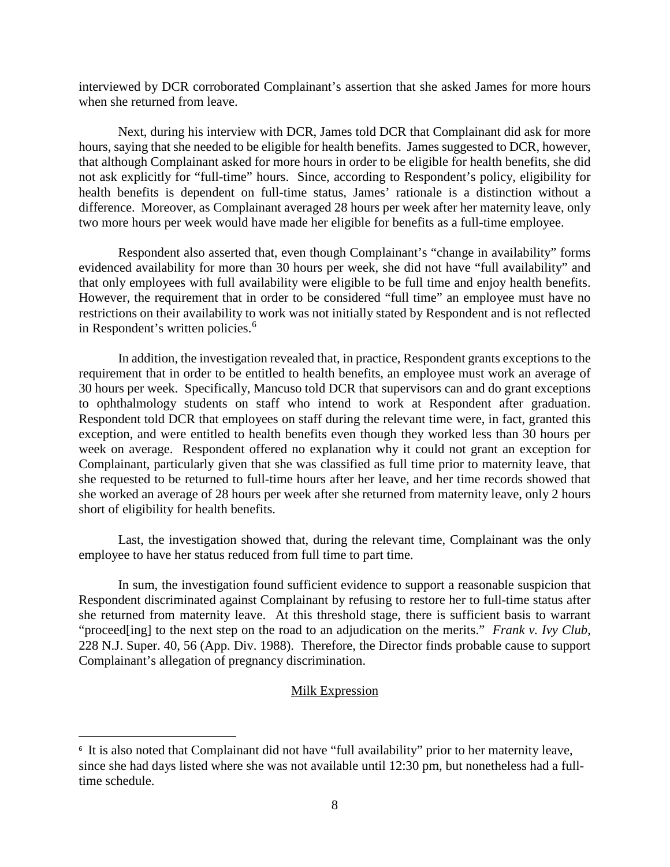interviewed by DCR corroborated Complainant's assertion that she asked James for more hours when she returned from leave.

Next, during his interview with DCR, James told DCR that Complainant did ask for more hours, saying that she needed to be eligible for health benefits. James suggested to DCR, however, that although Complainant asked for more hours in order to be eligible for health benefits, she did not ask explicitly for "full-time" hours. Since, according to Respondent's policy, eligibility for health benefits is dependent on full-time status, James' rationale is a distinction without a difference. Moreover, as Complainant averaged 28 hours per week after her maternity leave, only two more hours per week would have made her eligible for benefits as a full-time employee.

Respondent also asserted that, even though Complainant's "change in availability" forms evidenced availability for more than 30 hours per week, she did not have "full availability" and that only employees with full availability were eligible to be full time and enjoy health benefits. However, the requirement that in order to be considered "full time" an employee must have no restrictions on their availability to work was not initially stated by Respondent and is not reflected in Respondent's written policies.<sup>[6](#page-8-1)</sup>

In addition, the investigation revealed that, in practice, Respondent grants exceptions to the requirement that in order to be entitled to health benefits, an employee must work an average of 30 hours per week. Specifically, Mancuso told DCR that supervisors can and do grant exceptions to ophthalmology students on staff who intend to work at Respondent after graduation. Respondent told DCR that employees on staff during the relevant time were, in fact, granted this exception, and were entitled to health benefits even though they worked less than 30 hours per week on average. Respondent offered no explanation why it could not grant an exception for Complainant, particularly given that she was classified as full time prior to maternity leave, that she requested to be returned to full-time hours after her leave, and her time records showed that she worked an average of 28 hours per week after she returned from maternity leave, only 2 hours short of eligibility for health benefits.

Last, the investigation showed that, during the relevant time, Complainant was the only employee to have her status reduced from full time to part time.

In sum, the investigation found sufficient evidence to support a reasonable suspicion that Respondent discriminated against Complainant by refusing to restore her to full-time status after she returned from maternity leave. At this threshold stage, there is sufficient basis to warrant "proceed[ing] to the next step on the road to an adjudication on the merits." *Frank v. Ivy Club*, 228 N.J. Super. 40, 56 (App. Div. 1988). Therefore, the Director finds probable cause to support Complainant's allegation of pregnancy discrimination.

### Milk Expression

<sup>&</sup>lt;sup>6</sup> It is also noted that Complainant did not have "full availability" prior to her maternity leave, since she had days listed where she was not available until 12:30 pm, but nonetheless had a fulltime schedule.